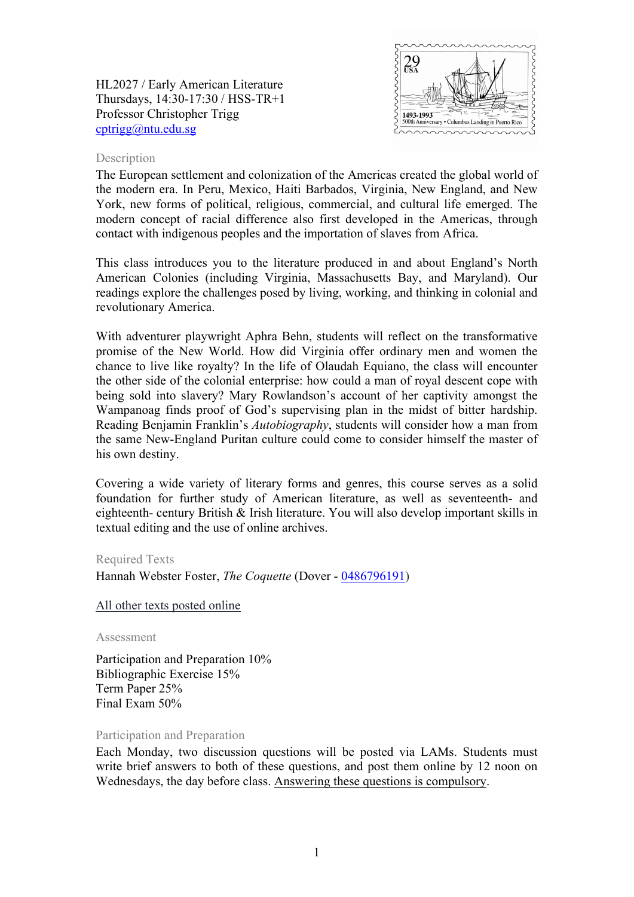HL2027 / Early American Literature Thursdays, 14:30-17:30 / HSS-TR+1 Professor Christopher Trigg [cptrigg@ntu.edu.sg](mailto:cptrigg@ntu.edu.sg)



### Description

The European settlement and colonization of the Americas created the global world of the modern era. In Peru, Mexico, Haiti Barbados, Virginia, New England, and New York, new forms of political, religious, commercial, and cultural life emerged. The modern concept of racial difference also first developed in the Americas, through contact with indigenous peoples and the importation of slaves from Africa.

This class introduces you to the literature produced in and about England's North American Colonies (including Virginia, Massachusetts Bay, and Maryland). Our readings explore the challenges posed by living, working, and thinking in colonial and revolutionary America.

With adventurer playwright Aphra Behn, students will reflect on the transformative promise of the New World. How did Virginia offer ordinary men and women the chance to live like royalty? In the life of Olaudah Equiano, the class will encounter the other side of the colonial enterprise: how could a man of royal descent cope with being sold into slavery? Mary Rowlandson's account of her captivity amongst the Wampanoag finds proof of God's supervising plan in the midst of bitter hardship. Reading Benjamin Franklin's *Autobiography*, students will consider how a man from the same New-England Puritan culture could come to consider himself the master of his own destiny.

Covering a wide variety of literary forms and genres, this course serves as a solid foundation for further study of American literature, as well as seventeenth- and eighteenth- century British & Irish literature. You will also develop important skills in textual editing and the use of online archives.

#### Required Texts

Hannah Webster Foster, *The Coquette* (Dover - [0486796191\)](http://opentrolley.com.sg/BookDetails.aspx?BookID=13830159)

All other texts posted online

Assessment

Participation and Preparation 10% Bibliographic Exercise 15% Term Paper 25% Final Exam 50%

#### Participation and Preparation

Each Monday, two discussion questions will be posted via LAMs. Students must write brief answers to both of these questions, and post them online by 12 noon on Wednesdays, the day before class. Answering these questions is compulsory.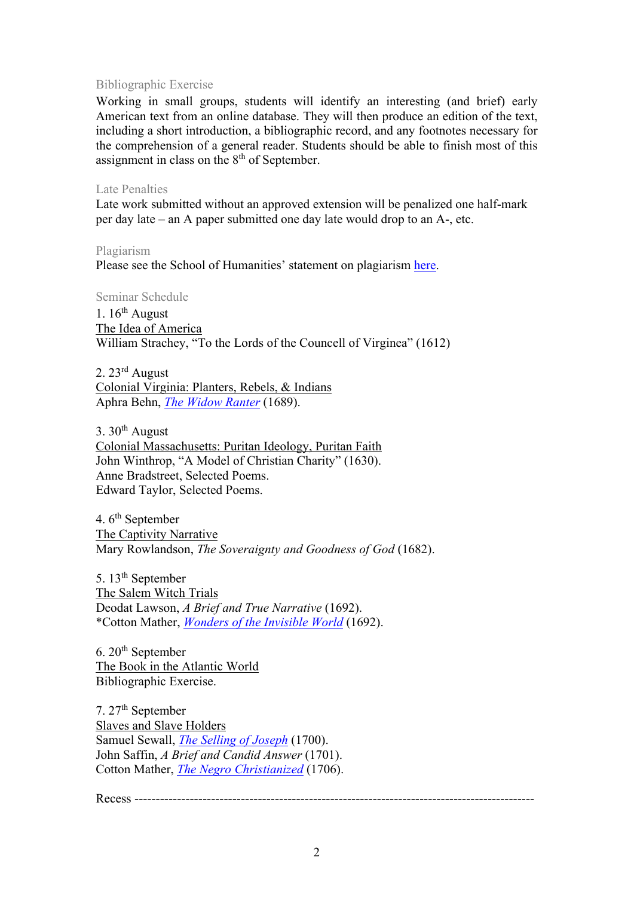# Bibliographic Exercise

Working in small groups, students will identify an interesting (and brief) early American text from an online database. They will then produce an edition of the text, including a short introduction, a bibliographic record, and any footnotes necessary for the comprehension of a general reader. Students should be able to finish most of this assignment in class on the 8th of September.

## Late Penalties

Late work submitted without an approved extension will be penalized one half-mark per day late – an A paper submitted one day late would drop to an A-, etc.

Plagiarism Please see the School of Humanities' statement on plagiarism [here.](http://n4ap0112:6150/Programmes/Undergraduate/current/Pages/forms.aspx)

Seminar Schedule

1.  $16^{th}$  August The Idea of America William Strachey, "To the Lords of the Councell of Virginea" (1612)

2. 23rd August Colonial Virginia: Planters, Rebels, & Indians Aphra Behn, *[The Widow Ranter](https://digitalcommons.unl.edu/cgi/viewcontent.cgi?article=1045&context=etas)* (1689).

3.  $30<sup>th</sup>$  August Colonial Massachusetts: Puritan Ideology, Puritan Faith John Winthrop, "A Model of Christian Charity" (1630). Anne Bradstreet, Selected Poems. Edward Taylor, Selected Poems.

4.  $6<sup>th</sup>$  September The Captivity Narrative Mary Rowlandson, *The Soveraignty and Goodness of God* (1682).

5. 13<sup>th</sup> September The Salem Witch Trials Deodat Lawson, *A Brief and True Narrative* (1692). \*Cotton Mather, *[Wonders of the Invisible World](https://digitalcommons.unl.edu/cgi/viewcontent.cgi?article=1053&context=etas)* (1692).

 $6.20<sup>th</sup>$  September The Book in the Atlantic World Bibliographic Exercise.

7. 27th September Slaves and Slave Holders Samuel Sewall, *[The Selling of Joseph](https://digitalcommons.unl.edu/cgi/viewcontent.cgi?article=1026&context=etas)* (1700). John Saffin, *A Brief and Candid Answer* (1701). Cotton Mather, *[The Negro Christianized](https://digitalcommons.unl.edu/cgi/viewcontent.cgi?article=1028&context=etas)* (1706).

Recess ----------------------------------------------------------------------------------------------